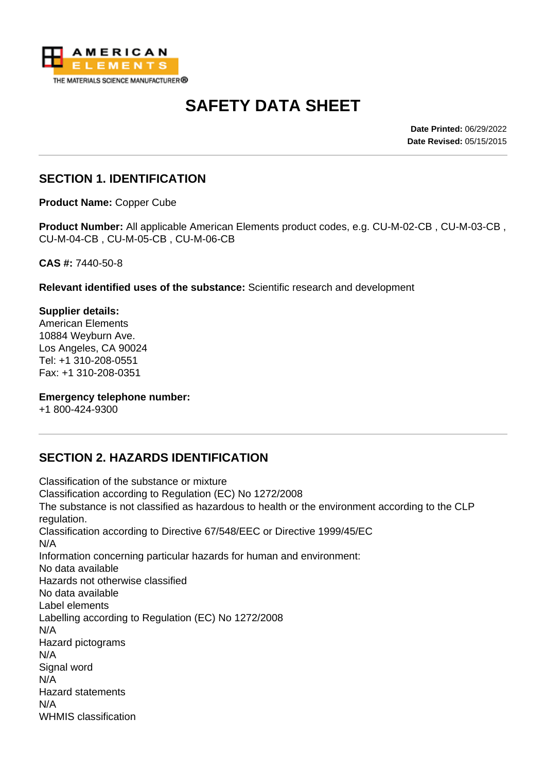

# **SAFETY DATA SHEET**

**Date Printed:** 06/29/2022 **Date Revised:** 05/15/2015

### **SECTION 1. IDENTIFICATION**

**Product Name:** Copper Cube

**Product Number:** All applicable American Elements product codes, e.g. CU-M-02-CB , CU-M-03-CB , CU-M-04-CB , CU-M-05-CB , CU-M-06-CB

**CAS #:** 7440-50-8

**Relevant identified uses of the substance:** Scientific research and development

**Supplier details:** American Elements 10884 Weyburn Ave. Los Angeles, CA 90024 Tel: +1 310-208-0551 Fax: +1 310-208-0351

#### **Emergency telephone number:**

+1 800-424-9300

## **SECTION 2. HAZARDS IDENTIFICATION**

Classification of the substance or mixture Classification according to Regulation (EC) No 1272/2008 The substance is not classified as hazardous to health or the environment according to the CLP regulation. Classification according to Directive 67/548/EEC or Directive 1999/45/EC N/A Information concerning particular hazards for human and environment: No data available Hazards not otherwise classified No data available Label elements Labelling according to Regulation (EC) No 1272/2008 N/A Hazard pictograms N/A Signal word N/A Hazard statements N/A WHMIS classification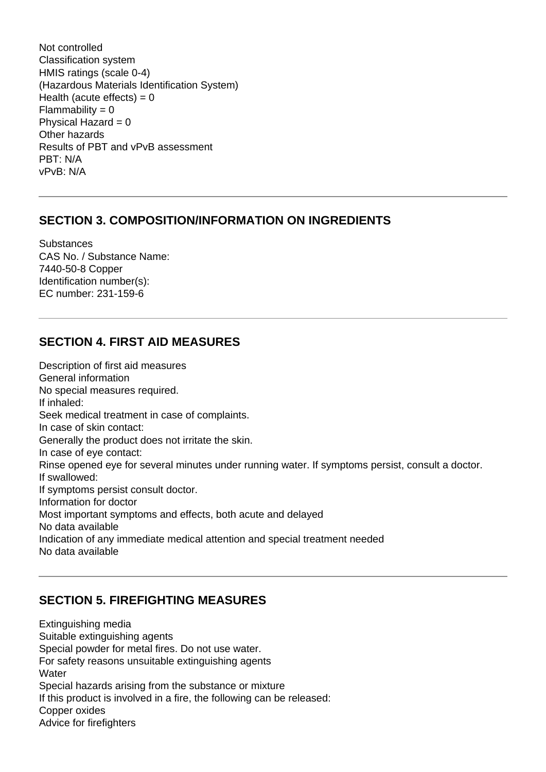Not controlled Classification system HMIS ratings (scale 0-4) (Hazardous Materials Identification System) Health (acute effects) =  $0$  $Flammability = 0$ Physical Hazard  $= 0$ Other hazards Results of PBT and vPvB assessment PBT: N/A vPvB: N/A

#### **SECTION 3. COMPOSITION/INFORMATION ON INGREDIENTS**

**Substances** CAS No. / Substance Name: 7440-50-8 Copper Identification number(s): EC number: 231-159-6

#### **SECTION 4. FIRST AID MEASURES**

Description of first aid measures General information No special measures required. If inhaled: Seek medical treatment in case of complaints. In case of skin contact: Generally the product does not irritate the skin. In case of eye contact: Rinse opened eye for several minutes under running water. If symptoms persist, consult a doctor. If swallowed: If symptoms persist consult doctor. Information for doctor Most important symptoms and effects, both acute and delayed No data available Indication of any immediate medical attention and special treatment needed No data available

#### **SECTION 5. FIREFIGHTING MEASURES**

Extinguishing media Suitable extinguishing agents Special powder for metal fires. Do not use water. For safety reasons unsuitable extinguishing agents **Water** Special hazards arising from the substance or mixture If this product is involved in a fire, the following can be released: Copper oxides Advice for firefighters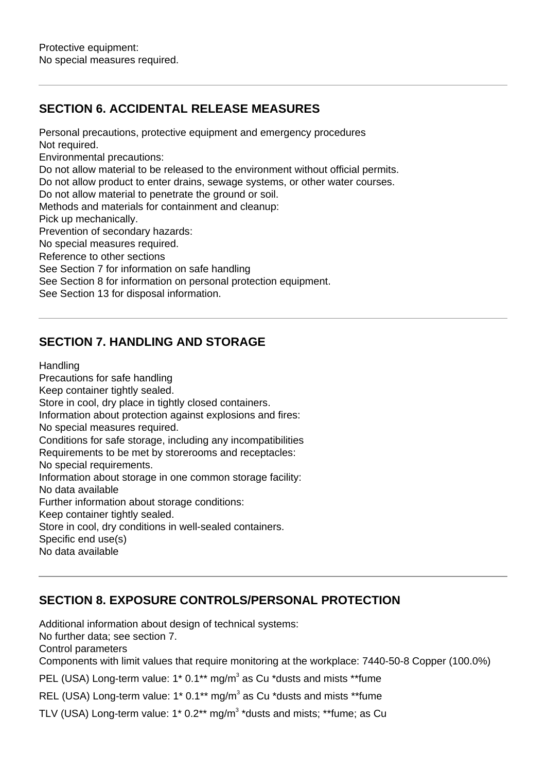## **SECTION 6. ACCIDENTAL RELEASE MEASURES**

Not required. Environmental precautions: Do not allow material to be released to the environment without official permits. Do not allow product to enter drains, sewage systems, or other water courses. Do not allow material to penetrate the ground or soil. Methods and materials for containment and cleanup: Pick up mechanically. Prevention of secondary hazards: No special measures required. Reference to other sections See Section 7 for information on safe handling See Section 8 for information on personal protection equipment. See Section 13 for disposal information.

Personal precautions, protective equipment and emergency procedures

#### **SECTION 7. HANDLING AND STORAGE**

**Handling** 

Precautions for safe handling Keep container tightly sealed. Store in cool, dry place in tightly closed containers. Information about protection against explosions and fires: No special measures required. Conditions for safe storage, including any incompatibilities Requirements to be met by storerooms and receptacles: No special requirements. Information about storage in one common storage facility: No data available Further information about storage conditions: Keep container tightly sealed. Store in cool, dry conditions in well-sealed containers. Specific end use(s) No data available

#### **SECTION 8. EXPOSURE CONTROLS/PERSONAL PROTECTION**

Additional information about design of technical systems: No further data; see section 7. Control parameters Components with limit values that require monitoring at the workplace: 7440-50-8 Copper (100.0%) PEL (USA) Long-term value: 1\* 0.1\*\* mg/m<sup>3</sup> as Cu \*dusts and mists \*\*fume

REL (USA) Long-term value: 1\* 0.1\*\* mg/m<sup>3</sup> as Cu \*dusts and mists \*\*fume

TLV (USA) Long-term value: 1\* 0.2\*\* mg/m<sup>3</sup> \*dusts and mists; \*\*fume; as Cu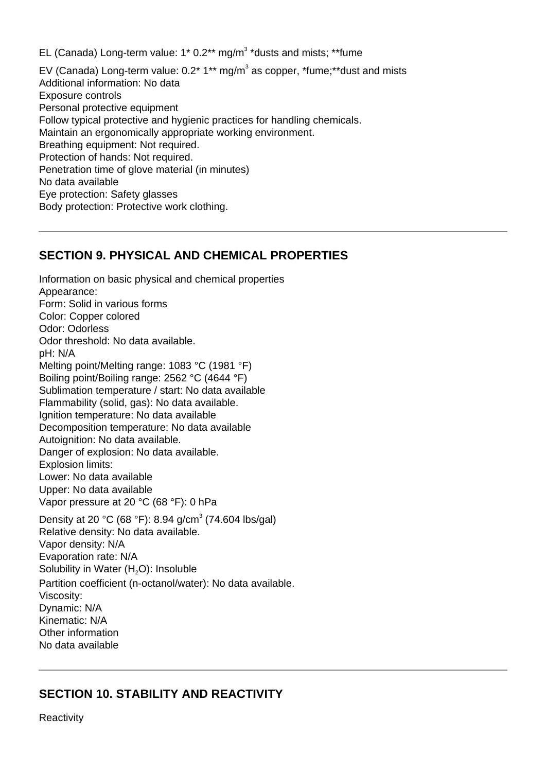EL (Canada) Long-term value:  $1*0.2**$  mg/m<sup>3</sup> \*dusts and mists; \*\*fume

EV (Canada) Long-term value:  $0.2^*$  1<sup>\*\*</sup> mg/m<sup>3</sup> as copper, \*fume;\*\*dust and mists Additional information: No data Exposure controls Personal protective equipment Follow typical protective and hygienic practices for handling chemicals. Maintain an ergonomically appropriate working environment. Breathing equipment: Not required. Protection of hands: Not required. Penetration time of glove material (in minutes) No data available Eye protection: Safety glasses Body protection: Protective work clothing.

#### **SECTION 9. PHYSICAL AND CHEMICAL PROPERTIES**

Information on basic physical and chemical properties Appearance: Form: Solid in various forms Color: Copper colored Odor: Odorless Odor threshold: No data available. pH: N/A Melting point/Melting range: 1083 °C (1981 °F) Boiling point/Boiling range: 2562 °C (4644 °F) Sublimation temperature / start: No data available Flammability (solid, gas): No data available. Ignition temperature: No data available Decomposition temperature: No data available Autoignition: No data available. Danger of explosion: No data available. Explosion limits: Lower: No data available Upper: No data available Vapor pressure at 20 °C (68 °F): 0 hPa Density at 20 °C (68 °F): 8.94 g/cm<sup>3</sup> (74.604 lbs/gal) Relative density: No data available. Vapor density: N/A Evaporation rate: N/A Solubility in Water  $(H<sub>2</sub>O)$ : Insoluble Partition coefficient (n-octanol/water): No data available. Viscosity: Dynamic: N/A Kinematic: N/A Other information No data available

## **SECTION 10. STABILITY AND REACTIVITY**

**Reactivity**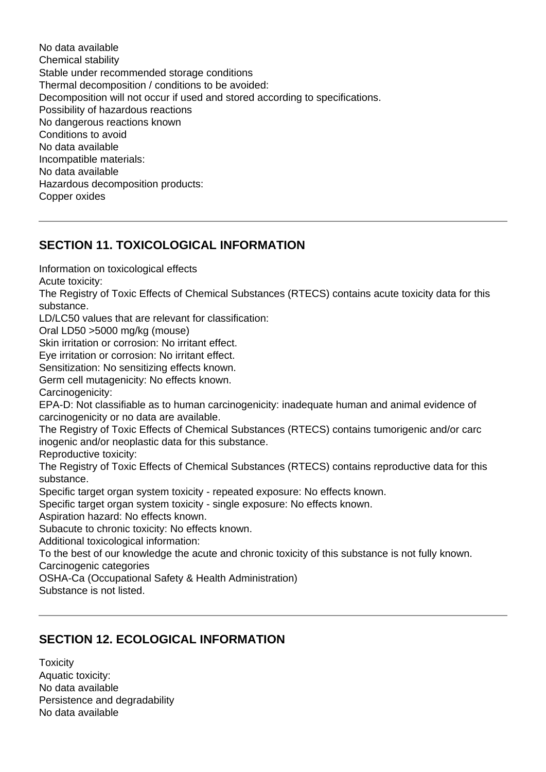No data available Chemical stability Stable under recommended storage conditions Thermal decomposition / conditions to be avoided: Decomposition will not occur if used and stored according to specifications. Possibility of hazardous reactions No dangerous reactions known Conditions to avoid No data available Incompatible materials: No data available Hazardous decomposition products: Copper oxides

## **SECTION 11. TOXICOLOGICAL INFORMATION**

Information on toxicological effects

Acute toxicity:

The Registry of Toxic Effects of Chemical Substances (RTECS) contains acute toxicity data for this substance.

LD/LC50 values that are relevant for classification:

Oral LD50 >5000 mg/kg (mouse)

Skin irritation or corrosion: No irritant effect.

Eye irritation or corrosion: No irritant effect.

Sensitization: No sensitizing effects known.

Germ cell mutagenicity: No effects known.

Carcinogenicity:

EPA-D: Not classifiable as to human carcinogenicity: inadequate human and animal evidence of carcinogenicity or no data are available.

The Registry of Toxic Effects of Chemical Substances (RTECS) contains tumorigenic and/or carc inogenic and/or neoplastic data for this substance.

Reproductive toxicity:

The Registry of Toxic Effects of Chemical Substances (RTECS) contains reproductive data for this substance.

Specific target organ system toxicity - repeated exposure: No effects known.

Specific target organ system toxicity - single exposure: No effects known.

Aspiration hazard: No effects known.

Subacute to chronic toxicity: No effects known.

Additional toxicological information:

To the best of our knowledge the acute and chronic toxicity of this substance is not fully known. Carcinogenic categories

OSHA-Ca (Occupational Safety & Health Administration)

Substance is not listed.

## **SECTION 12. ECOLOGICAL INFORMATION**

**Toxicity** Aquatic toxicity: No data available Persistence and degradability No data available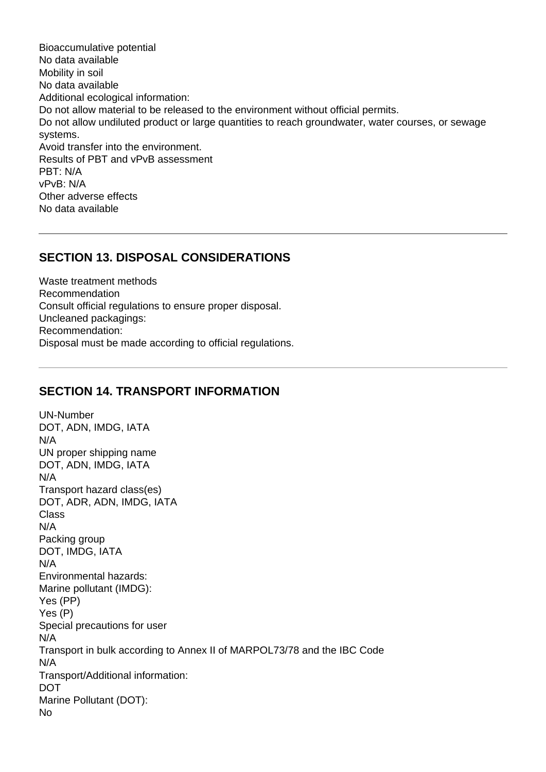Bioaccumulative potential No data available Mobility in soil No data available Additional ecological information: Do not allow material to be released to the environment without official permits. Do not allow undiluted product or large quantities to reach groundwater, water courses, or sewage systems. Avoid transfer into the environment. Results of PBT and vPvB assessment PBT: N/A vPvB: N/A Other adverse effects No data available

#### **SECTION 13. DISPOSAL CONSIDERATIONS**

Waste treatment methods Recommendation Consult official regulations to ensure proper disposal. Uncleaned packagings: Recommendation: Disposal must be made according to official regulations.

#### **SECTION 14. TRANSPORT INFORMATION**

UN-Number DOT, ADN, IMDG, IATA N/A UN proper shipping name DOT, ADN, IMDG, IATA N/A Transport hazard class(es) DOT, ADR, ADN, IMDG, IATA Class N/A Packing group DOT, IMDG, IATA N/A Environmental hazards: Marine pollutant (IMDG): Yes (PP) Yes (P) Special precautions for user N/A Transport in bulk according to Annex II of MARPOL73/78 and the IBC Code N/A Transport/Additional information: DOT Marine Pollutant (DOT): No